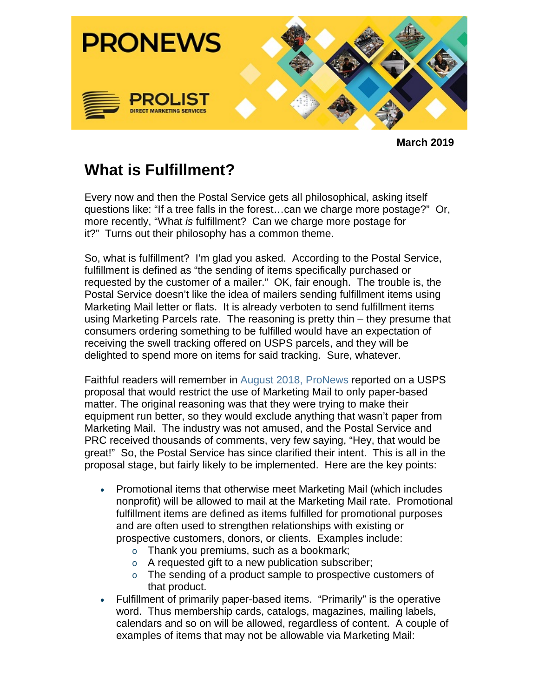

**March 2019**

## **What is Fulfillment?**

Every now and then the Postal Service gets all philosophical, asking itself questions like: "If a tree falls in the forest…can we charge more postage?" Or, more recently, "What *is* fulfillment? Can we charge more postage for it?" Turns out their philosophy has a common theme.

So, what is fulfillment? I'm glad you asked. According to the Postal Service, fulfillment is defined as "the sending of items specifically purchased or requested by the customer of a mailer." OK, fair enough. The trouble is, the Postal Service doesn't like the idea of mailers sending fulfillment items using Marketing Mail letter or flats. It is already verboten to send fulfillment items using Marketing Parcels rate. The reasoning is pretty thin – they presume that consumers ordering something to be fulfilled would have an expectation of receiving the swell tracking offered on USPS parcels, and they will be delighted to spend more on items for said tracking. Sure, whatever.

Faithful readers will remember in August 2018, ProNews reported on a USPS proposal that would restrict the use of Marketing Mail to only paper-based matter. The original reasoning was that they were trying to make their equipment run better, so they would exclude anything that wasn't paper from Marketing Mail. The industry was not amused, and the Postal Service and PRC received thousands of comments, very few saying, "Hey, that would be great!" So, the Postal Service has since clarified their intent. This is all in the proposal stage, but fairly likely to be implemented. Here are the key points:

- Promotional items that otherwise meet Marketing Mail (which includes nonprofit) will be allowed to mail at the Marketing Mail rate. Promotional fulfillment items are defined as items fulfilled for promotional purposes and are often used to strengthen relationships with existing or prospective customers, donors, or clients. Examples include:
	- o Thank you premiums, such as a bookmark;
	- o A requested gift to a new publication subscriber;
	- o The sending of a product sample to prospective customers of that product.
- Fulfillment of primarily paper-based items. "Primarily" is the operative word. Thus membership cards, catalogs, magazines, mailing labels, calendars and so on will be allowed, regardless of content. A couple of examples of items that may not be allowable via Marketing Mail: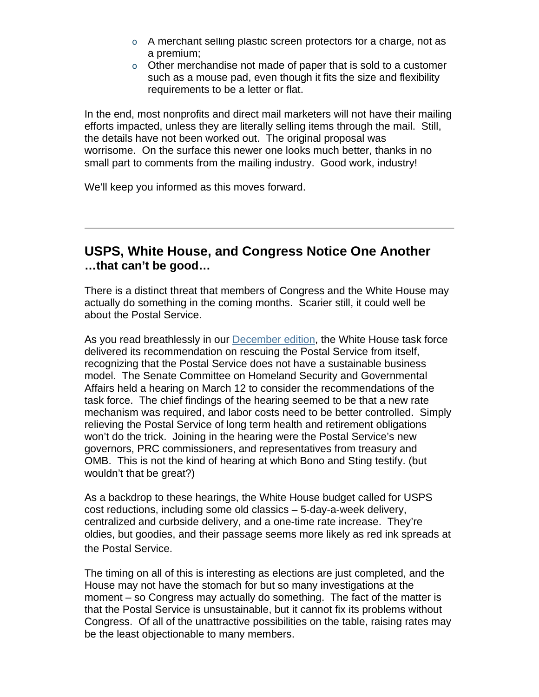- $\circ$  A merchant selling plastic screen protectors for a charge, not as a premium;
- o Other merchandise not made of paper that is sold to a customer such as a mouse pad, even though it fits the size and flexibility requirements to be a letter or flat.

In the end, most nonprofits and direct mail marketers will not have their mailing efforts impacted, unless they are literally selling items through the mail. Still, the details have not been worked out. The original proposal was worrisome. On the surface this newer one looks much better, thanks in no small part to comments from the mailing industry. Good work, industry!

We'll keep you informed as this moves forward.

## **USPS, White House, and Congress Notice One Another …that can't be good…**

There is a distinct threat that members of Congress and the White House may actually do something in the coming months. Scarier still, it could well be about the Postal Service.

As you read breathlessly in our December edition, the White House task force delivered its recommendation on rescuing the Postal Service from itself, recognizing that the Postal Service does not have a sustainable business model. The Senate Committee on Homeland Security and Governmental Affairs held a hearing on March 12 to consider the recommendations of the task force. The chief findings of the hearing seemed to be that a new rate mechanism was required, and labor costs need to be better controlled. Simply relieving the Postal Service of long term health and retirement obligations won't do the trick. Joining in the hearing were the Postal Service's new governors, PRC commissioners, and representatives from treasury and OMB. This is not the kind of hearing at which Bono and Sting testify. (but wouldn't that be great?)

As a backdrop to these hearings, the White House budget called for USPS cost reductions, including some old classics – 5-day-a-week delivery, centralized and curbside delivery, and a one-time rate increase. They're oldies, but goodies, and their passage seems more likely as red ink spreads at the Postal Service.

The timing on all of this is interesting as elections are just completed, and the House may not have the stomach for but so many investigations at the moment – so Congress may actually do something. The fact of the matter is that the Postal Service is unsustainable, but it cannot fix its problems without Congress. Of all of the unattractive possibilities on the table, raising rates may be the least objectionable to many members.